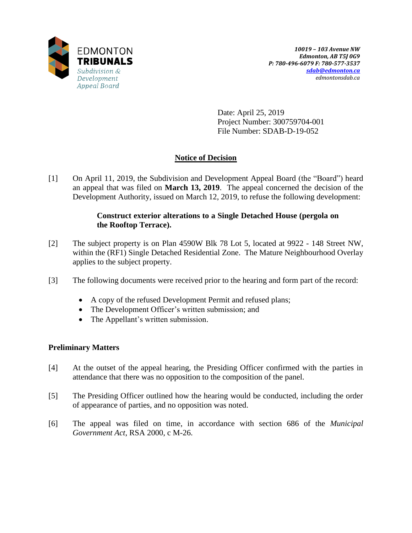

Date: April 25, 2019 Project Number: 300759704-001 File Number: SDAB-D-19-052

# **Notice of Decision**

[1] On April 11, 2019, the Subdivision and Development Appeal Board (the "Board") heard an appeal that was filed on **March 13, 2019**. The appeal concerned the decision of the Development Authority, issued on March 12, 2019, to refuse the following development:

## **Construct exterior alterations to a Single Detached House (pergola on the Rooftop Terrace).**

- [2] The subject property is on Plan 4590W Blk 78 Lot 5, located at 9922 148 Street NW, within the (RF1) Single Detached Residential Zone. The Mature Neighbourhood Overlay applies to the subject property.
- [3] The following documents were received prior to the hearing and form part of the record:
	- A copy of the refused Development Permit and refused plans;
	- The Development Officer's written submission; and
	- The Appellant's written submission.

## **Preliminary Matters**

- [4] At the outset of the appeal hearing, the Presiding Officer confirmed with the parties in attendance that there was no opposition to the composition of the panel.
- [5] The Presiding Officer outlined how the hearing would be conducted, including the order of appearance of parties, and no opposition was noted.
- [6] The appeal was filed on time, in accordance with section 686 of the *Municipal Government Act*, RSA 2000, c M-26.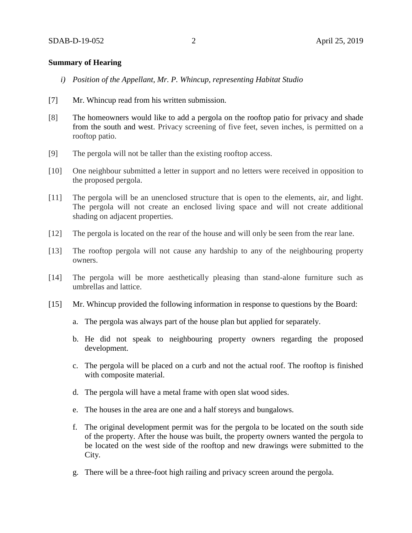### **Summary of Hearing**

- *i) Position of the Appellant, Mr. P. Whincup, representing Habitat Studio*
- [7] Mr. Whincup read from his written submission.
- [8] The homeowners would like to add a pergola on the rooftop patio for privacy and shade from the south and west. Privacy screening of five feet, seven inches, is permitted on a rooftop patio.
- [9] The pergola will not be taller than the existing rooftop access.
- [10] One neighbour submitted a letter in support and no letters were received in opposition to the proposed pergola.
- [11] The pergola will be an unenclosed structure that is open to the elements, air, and light. The pergola will not create an enclosed living space and will not create additional shading on adjacent properties.
- [12] The pergola is located on the rear of the house and will only be seen from the rear lane.
- [13] The rooftop pergola will not cause any hardship to any of the neighbouring property owners.
- [14] The pergola will be more aesthetically pleasing than stand-alone furniture such as umbrellas and lattice.
- [15] Mr. Whincup provided the following information in response to questions by the Board:
	- a. The pergola was always part of the house plan but applied for separately.
	- b. He did not speak to neighbouring property owners regarding the proposed development.
	- c. The pergola will be placed on a curb and not the actual roof. The rooftop is finished with composite material.
	- d. The pergola will have a metal frame with open slat wood sides.
	- e. The houses in the area are one and a half storeys and bungalows.
	- f. The original development permit was for the pergola to be located on the south side of the property. After the house was built, the property owners wanted the pergola to be located on the west side of the rooftop and new drawings were submitted to the City.
	- g. There will be a three-foot high railing and privacy screen around the pergola.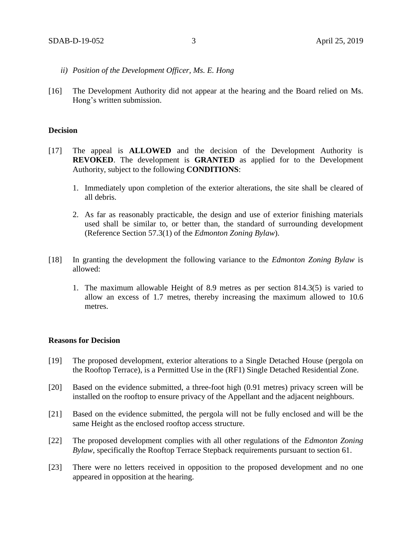- *ii) Position of the Development Officer, Ms. E. Hong*
- [16] The Development Authority did not appear at the hearing and the Board relied on Ms. Hong's written submission.

### **Decision**

- [17] The appeal is **ALLOWED** and the decision of the Development Authority is **REVOKED**. The development is **GRANTED** as applied for to the Development Authority, subject to the following **CONDITIONS**:
	- 1. Immediately upon completion of the exterior alterations, the site shall be cleared of all debris.
	- 2. As far as reasonably practicable, the design and use of exterior finishing materials used shall be similar to, or better than, the standard of surrounding development (Reference Section 57.3(1) of the *Edmonton Zoning Bylaw*).
- [18] In granting the development the following variance to the *Edmonton Zoning Bylaw* is allowed:
	- 1. The maximum allowable Height of 8.9 metres as per section 814.3(5) is varied to allow an excess of 1.7 metres, thereby increasing the maximum allowed to 10.6 metres.

### **Reasons for Decision**

- [19] The proposed development, exterior alterations to a Single Detached House (pergola on the Rooftop Terrace), is a Permitted Use in the (RF1) Single Detached Residential Zone.
- [20] Based on the evidence submitted, a three-foot high (0.91 metres) privacy screen will be installed on the rooftop to ensure privacy of the Appellant and the adjacent neighbours.
- [21] Based on the evidence submitted, the pergola will not be fully enclosed and will be the same Height as the enclosed rooftop access structure.
- [22] The proposed development complies with all other regulations of the *Edmonton Zoning Bylaw*, specifically the Rooftop Terrace Stepback requirements pursuant to section 61.
- [23] There were no letters received in opposition to the proposed development and no one appeared in opposition at the hearing.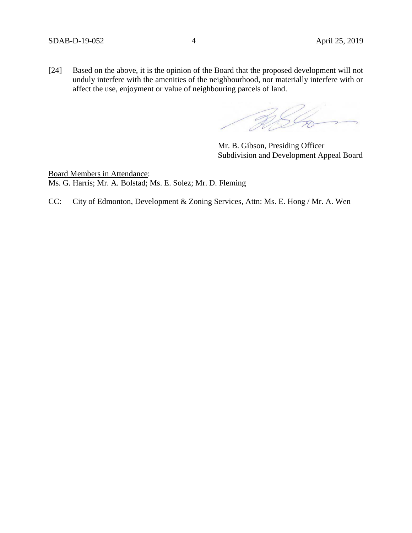[24] Based on the above, it is the opinion of the Board that the proposed development will not unduly interfere with the amenities of the neighbourhood, nor materially interfere with or affect the use, enjoyment or value of neighbouring parcels of land.

RSL

Mr. B. Gibson, Presiding Officer Subdivision and Development Appeal Board

Board Members in Attendance: Ms. G. Harris; Mr. A. Bolstad; Ms. E. Solez; Mr. D. Fleming

CC: City of Edmonton, Development & Zoning Services, Attn: Ms. E. Hong / Mr. A. Wen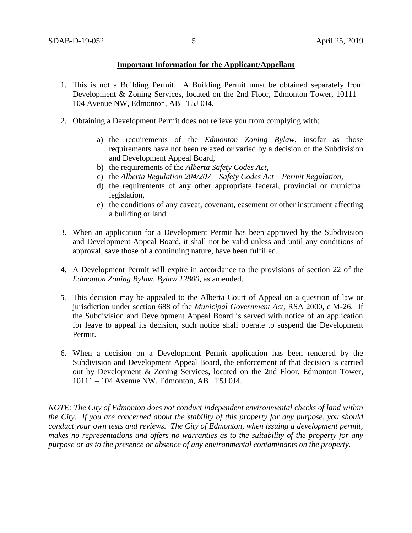### **Important Information for the Applicant/Appellant**

- 1. This is not a Building Permit. A Building Permit must be obtained separately from Development & Zoning Services, located on the 2nd Floor, Edmonton Tower, 10111 – 104 Avenue NW, Edmonton, AB T5J 0J4.
- 2. Obtaining a Development Permit does not relieve you from complying with:
	- a) the requirements of the *Edmonton Zoning Bylaw*, insofar as those requirements have not been relaxed or varied by a decision of the Subdivision and Development Appeal Board,
	- b) the requirements of the *Alberta Safety Codes Act*,
	- c) the *Alberta Regulation 204/207 – Safety Codes Act – Permit Regulation*,
	- d) the requirements of any other appropriate federal, provincial or municipal legislation,
	- e) the conditions of any caveat, covenant, easement or other instrument affecting a building or land.
- 3. When an application for a Development Permit has been approved by the Subdivision and Development Appeal Board, it shall not be valid unless and until any conditions of approval, save those of a continuing nature, have been fulfilled.
- 4. A Development Permit will expire in accordance to the provisions of section 22 of the *Edmonton Zoning Bylaw, Bylaw 12800*, as amended.
- 5. This decision may be appealed to the Alberta Court of Appeal on a question of law or jurisdiction under section 688 of the *Municipal Government Act*, RSA 2000, c M-26. If the Subdivision and Development Appeal Board is served with notice of an application for leave to appeal its decision, such notice shall operate to suspend the Development Permit.
- 6. When a decision on a Development Permit application has been rendered by the Subdivision and Development Appeal Board, the enforcement of that decision is carried out by Development & Zoning Services, located on the 2nd Floor, Edmonton Tower, 10111 – 104 Avenue NW, Edmonton, AB T5J 0J4.

*NOTE: The City of Edmonton does not conduct independent environmental checks of land within the City. If you are concerned about the stability of this property for any purpose, you should conduct your own tests and reviews. The City of Edmonton, when issuing a development permit, makes no representations and offers no warranties as to the suitability of the property for any purpose or as to the presence or absence of any environmental contaminants on the property.*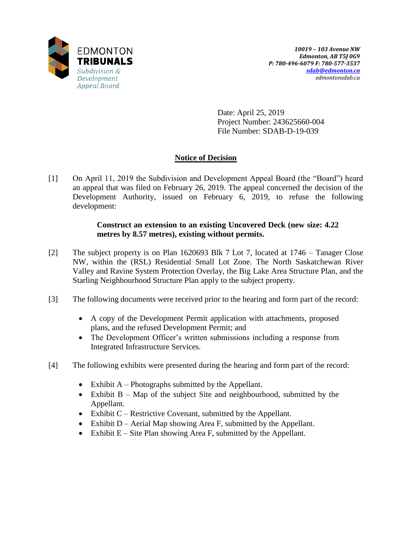

Date: April 25, 2019 Project Number: 243625660-004 File Number: SDAB-D-19-039

# **Notice of Decision**

[1] On April 11, 2019 the Subdivision and Development Appeal Board (the "Board") heard an appeal that was filed on February 26, 2019. The appeal concerned the decision of the Development Authority, issued on February 6, 2019, to refuse the following development:

## **Construct an extension to an existing Uncovered Deck (new size: 4.22 metres by 8.57 metres), existing without permits.**

- [2] The subject property is on Plan 1620693 Blk 7 Lot 7, located at 1746 Tanager Close NW, within the (RSL) Residential Small Lot Zone. The North Saskatchewan River Valley and Ravine System Protection Overlay, the Big Lake Area Structure Plan, and the Starling Neighbourhood Structure Plan apply to the subject property.
- [3] The following documents were received prior to the hearing and form part of the record:
	- A copy of the Development Permit application with attachments, proposed plans, and the refused Development Permit; and
	- The Development Officer's written submissions including a response from Integrated Infrastructure Services.
- [4] The following exhibits were presented during the hearing and form part of the record:
	- Exhibit  $A$  Photographs submitted by the Appellant.
	- Exhibit  $B Map$  of the subject Site and neighbourhood, submitted by the Appellant.
	- Exhibit  $C$  Restrictive Covenant, submitted by the Appellant.
	- Exhibit  $D$  Aerial Map showing Area F, submitted by the Appellant.
	- Exhibit  $E -$  Site Plan showing Area F, submitted by the Appellant.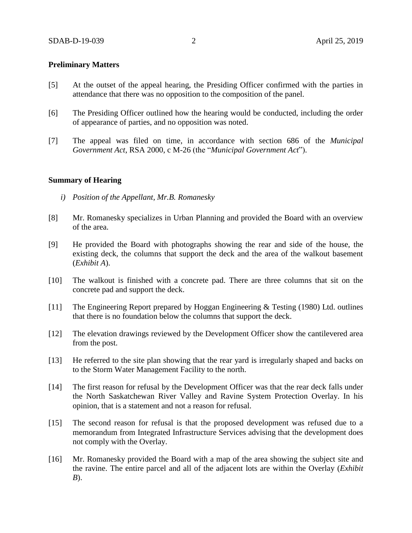#### **Preliminary Matters**

- [5] At the outset of the appeal hearing, the Presiding Officer confirmed with the parties in attendance that there was no opposition to the composition of the panel.
- [6] The Presiding Officer outlined how the hearing would be conducted, including the order of appearance of parties, and no opposition was noted.
- [7] The appeal was filed on time, in accordance with section 686 of the *Municipal Government Act*, RSA 2000, c M-26 (the "*Municipal Government Act*").

#### **Summary of Hearing**

- *i) Position of the Appellant, Mr.B. Romanesky*
- [8] Mr. Romanesky specializes in Urban Planning and provided the Board with an overview of the area.
- [9] He provided the Board with photographs showing the rear and side of the house, the existing deck, the columns that support the deck and the area of the walkout basement (*Exhibit A*).
- [10] The walkout is finished with a concrete pad. There are three columns that sit on the concrete pad and support the deck.
- [11] The Engineering Report prepared by Hoggan Engineering & Testing (1980) Ltd. outlines that there is no foundation below the columns that support the deck.
- [12] The elevation drawings reviewed by the Development Officer show the cantilevered area from the post.
- [13] He referred to the site plan showing that the rear yard is irregularly shaped and backs on to the Storm Water Management Facility to the north.
- [14] The first reason for refusal by the Development Officer was that the rear deck falls under the North Saskatchewan River Valley and Ravine System Protection Overlay. In his opinion, that is a statement and not a reason for refusal.
- [15] The second reason for refusal is that the proposed development was refused due to a memorandum from Integrated Infrastructure Services advising that the development does not comply with the Overlay.
- [16] Mr. Romanesky provided the Board with a map of the area showing the subject site and the ravine. The entire parcel and all of the adjacent lots are within the Overlay (*Exhibit B*).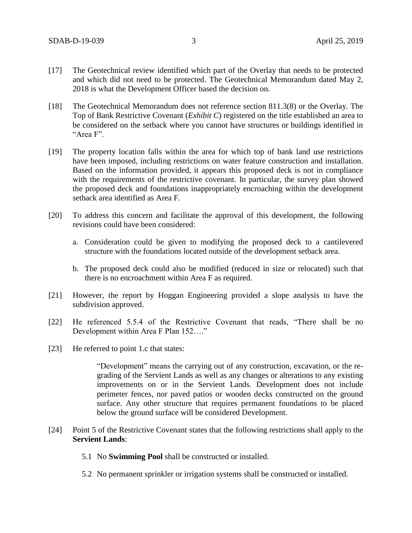- [17] The Geotechnical review identified which part of the Overlay that needs to be protected and which did not need to be protected. The Geotechnical Memorandum dated May 2, 2018 is what the Development Officer based the decision on.
- [18] The Geotechnical Memorandum does not reference section 811.3(8) or the Overlay. The Top of Bank Restrictive Covenant (*Exhibit C*) registered on the title established an area to be considered on the setback where you cannot have structures or buildings identified in "Area F".
- [19] The property location falls within the area for which top of bank land use restrictions have been imposed, including restrictions on water feature construction and installation. Based on the information provided, it appears this proposed deck is not in compliance with the requirements of the restrictive covenant. In particular, the survey plan showed the proposed deck and foundations inappropriately encroaching within the development setback area identified as Area F.
- [20] To address this concern and facilitate the approval of this development, the following revisions could have been considered:
	- a. Consideration could be given to modifying the proposed deck to a cantilevered structure with the foundations located outside of the development setback area.
	- b. The proposed deck could also be modified (reduced in size or relocated) such that there is no encroachment within Area F as required.
- [21] However, the report by Hoggan Engineering provided a slope analysis to have the subdivision approved.
- [22] He referenced 5.5.4 of the Restrictive Covenant that reads, "There shall be no Development within Area F Plan 152…."
- [23] He referred to point 1.c that states:

"Development" means the carrying out of any construction, excavation, or the regrading of the Servient Lands as well as any changes or alterations to any existing improvements on or in the Servient Lands. Development does not include perimeter fences, nor paved patios or wooden decks constructed on the ground surface. Any other structure that requires permanent foundations to be placed below the ground surface will be considered Development.

- [24] Point 5 of the Restrictive Covenant states that the following restrictions shall apply to the **Servient Lands**:
	- 5.1 No **Swimming Pool** shall be constructed or installed.
	- 5.2 No permanent sprinkler or irrigation systems shall be constructed or installed.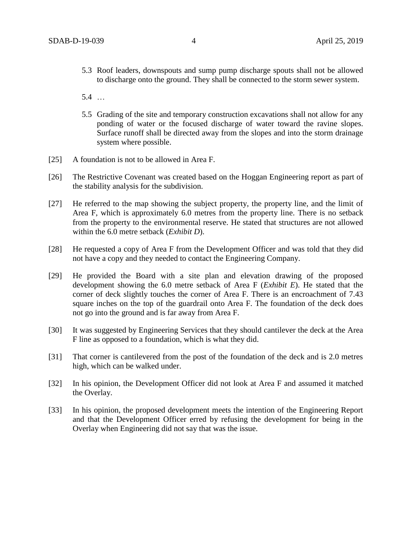- 5.3 Roof leaders, downspouts and sump pump discharge spouts shall not be allowed to discharge onto the ground. They shall be connected to the storm sewer system.
- 5.4 …
- 5.5 Grading of the site and temporary construction excavations shall not allow for any ponding of water or the focused discharge of water toward the ravine slopes. Surface runoff shall be directed away from the slopes and into the storm drainage system where possible.
- [25] A foundation is not to be allowed in Area F.
- [26] The Restrictive Covenant was created based on the Hoggan Engineering report as part of the stability analysis for the subdivision.
- [27] He referred to the map showing the subject property, the property line, and the limit of Area F, which is approximately 6.0 metres from the property line. There is no setback from the property to the environmental reserve. He stated that structures are not allowed within the 6.0 metre setback (*Exhibit D*).
- [28] He requested a copy of Area F from the Development Officer and was told that they did not have a copy and they needed to contact the Engineering Company.
- [29] He provided the Board with a site plan and elevation drawing of the proposed development showing the 6.0 metre setback of Area F (*Exhibit E*). He stated that the corner of deck slightly touches the corner of Area F. There is an encroachment of 7.43 square inches on the top of the guardrail onto Area F. The foundation of the deck does not go into the ground and is far away from Area F.
- [30] It was suggested by Engineering Services that they should cantilever the deck at the Area F line as opposed to a foundation, which is what they did.
- [31] That corner is cantilevered from the post of the foundation of the deck and is 2.0 metres high, which can be walked under.
- [32] In his opinion, the Development Officer did not look at Area F and assumed it matched the Overlay.
- [33] In his opinion, the proposed development meets the intention of the Engineering Report and that the Development Officer erred by refusing the development for being in the Overlay when Engineering did not say that was the issue.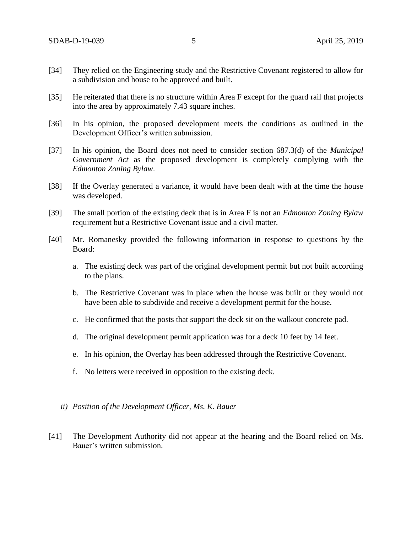- [34] They relied on the Engineering study and the Restrictive Covenant registered to allow for a subdivision and house to be approved and built.
- [35] He reiterated that there is no structure within Area F except for the guard rail that projects into the area by approximately 7.43 square inches.
- [36] In his opinion, the proposed development meets the conditions as outlined in the Development Officer's written submission.
- [37] In his opinion, the Board does not need to consider section 687.3(d) of the *Municipal Government Act* as the proposed development is completely complying with the *Edmonton Zoning Bylaw*.
- [38] If the Overlay generated a variance, it would have been dealt with at the time the house was developed.
- [39] The small portion of the existing deck that is in Area F is not an *Edmonton Zoning Bylaw*  requirement but a Restrictive Covenant issue and a civil matter.
- [40] Mr. Romanesky provided the following information in response to questions by the Board:
	- a. The existing deck was part of the original development permit but not built according to the plans.
	- b. The Restrictive Covenant was in place when the house was built or they would not have been able to subdivide and receive a development permit for the house.
	- c. He confirmed that the posts that support the deck sit on the walkout concrete pad.
	- d. The original development permit application was for a deck 10 feet by 14 feet.
	- e. In his opinion, the Overlay has been addressed through the Restrictive Covenant.
	- f. No letters were received in opposition to the existing deck.
	- *ii) Position of the Development Officer, Ms. K. Bauer*
- [41] The Development Authority did not appear at the hearing and the Board relied on Ms. Bauer's written submission.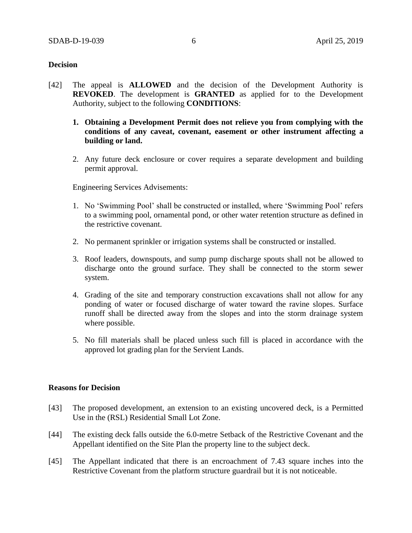### **Decision**

- [42] The appeal is **ALLOWED** and the decision of the Development Authority is **REVOKED**. The development is **GRANTED** as applied for to the Development Authority, subject to the following **CONDITIONS**:
	- **1. Obtaining a Development Permit does not relieve you from complying with the conditions of any caveat, covenant, easement or other instrument affecting a building or land.**
	- 2. Any future deck enclosure or cover requires a separate development and building permit approval.

Engineering Services Advisements:

- 1. No 'Swimming Pool' shall be constructed or installed, where 'Swimming Pool' refers to a swimming pool, ornamental pond, or other water retention structure as defined in the restrictive covenant.
- 2. No permanent sprinkler or irrigation systems shall be constructed or installed.
- 3. Roof leaders, downspouts, and sump pump discharge spouts shall not be allowed to discharge onto the ground surface. They shall be connected to the storm sewer system.
- 4. Grading of the site and temporary construction excavations shall not allow for any ponding of water or focused discharge of water toward the ravine slopes. Surface runoff shall be directed away from the slopes and into the storm drainage system where possible.
- 5. No fill materials shall be placed unless such fill is placed in accordance with the approved lot grading plan for the Servient Lands.

### **Reasons for Decision**

- [43] The proposed development, an extension to an existing uncovered deck, is a Permitted Use in the (RSL) Residential Small Lot Zone.
- [44] The existing deck falls outside the 6.0-metre Setback of the Restrictive Covenant and the Appellant identified on the Site Plan the property line to the subject deck.
- [45] The Appellant indicated that there is an encroachment of 7.43 square inches into the Restrictive Covenant from the platform structure guardrail but it is not noticeable.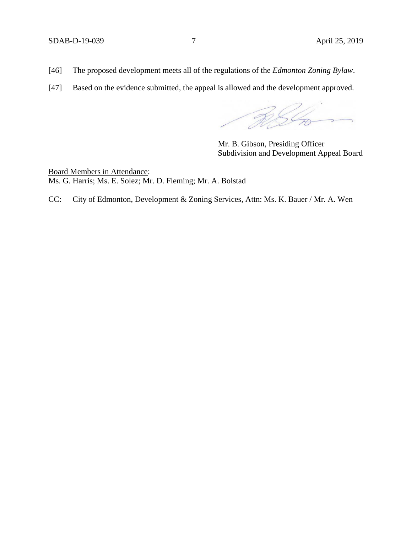- [46] The proposed development meets all of the regulations of the *Edmonton Zoning Bylaw*.
- [47] Based on the evidence submitted, the appeal is allowed and the development approved.

RSG

Mr. B. Gibson, Presiding Officer Subdivision and Development Appeal Board

Board Members in Attendance: Ms. G. Harris; Ms. E. Solez; Mr. D. Fleming; Mr. A. Bolstad

CC: City of Edmonton, Development & Zoning Services, Attn: Ms. K. Bauer / Mr. A. Wen